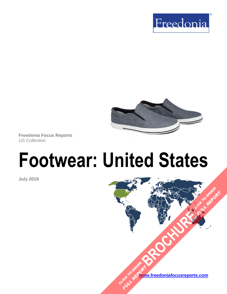



**Freedonia Focus Reports** US Collection

# **Footwear: United States**

**July 2019**

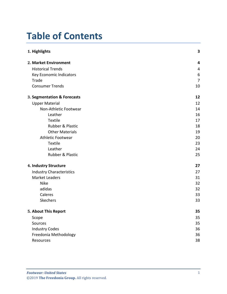# **Table of Contents**

| 1. Highlights                   | $\mathbf{3}$   |
|---------------------------------|----------------|
| 2. Market Environment           | 4              |
| <b>Historical Trends</b>        | $\overline{4}$ |
| Key Economic Indicators         | 6              |
| Trade                           | 7              |
| <b>Consumer Trends</b>          | 10             |
| 3. Segmentation & Forecasts     | 12             |
| <b>Upper Material</b>           | 12             |
| Non-Athletic Footwear           | 14             |
| Leather                         | 16             |
| Textile                         | 17             |
| Rubber & Plastic                | 18             |
| <b>Other Materials</b>          | 19             |
| <b>Athletic Footwear</b>        | 20             |
| Textile                         | 23             |
| Leather                         | 24             |
| Rubber & Plastic                | 25             |
| 4. Industry Structure           | 27             |
| <b>Industry Characteristics</b> | 27             |
| <b>Market Leaders</b>           | 31             |
| <b>Nike</b>                     | 32             |
| adidas                          | 32             |
| Caleres                         | 33             |
| <b>Skechers</b>                 | 33             |
| 5. About This Report            | 35             |
| Scope                           | 35             |
| Sources                         | 35             |
| <b>Industry Codes</b>           | 36             |
| Freedonia Methodology           | 36             |
| Resources                       | 38             |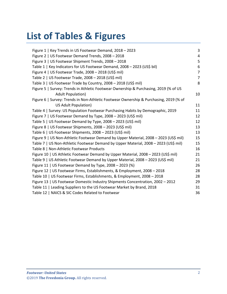# **List of Tables & Figures**

| Figure 1   Key Trends in US Footwear Demand, 2018 - 2023                              | 3              |
|---------------------------------------------------------------------------------------|----------------|
| Figure 2   US Footwear Demand Trends, 2008 - 2018                                     | $\overline{4}$ |
| Figure 3   US Footwear Shipment Trends, 2008 - 2018                                   | 5              |
| Table 1   Key Indicators for US Footwear Demand, 2008 - 2023 (US\$ bil)               | 6              |
| Figure 4   US Footwear Trade, 2008 - 2018 (US\$ mil)                                  | $\overline{7}$ |
| Table 2   US Footwear Trade, 2008 - 2018 (US\$ mil)                                   | $\overline{7}$ |
| Table 3   US Footwear Trade by Country, 2008 - 2018 (US\$ mil)                        | 8              |
| Figure 5   Survey: Trends in Athletic Footwear Ownership & Purchasing, 2019 (% of US  |                |
| <b>Adult Population)</b>                                                              | 10             |
| Figure 6   Survey: Trends in Non-Athletic Footwear Ownership & Purchasing, 2019 (% of |                |
| <b>US Adult Population)</b>                                                           | 11             |
| Table 4   Survey: US Population Footwear Purchasing Habits by Demographic, 2019       | 11             |
| Figure 7   US Footwear Demand by Type, 2008 - 2023 (US\$ mil)                         | 12             |
| Table 5   US Footwear Demand by Type, 2008 - 2023 (US\$ mil)                          | 12             |
| Figure 8   US Footwear Shipments, 2008 - 2023 (US\$ mil)                              | 13             |
| Table 6   US Footwear Shipments, 2008 - 2023 (US\$ mil)                               | 13             |
| Figure 9   US Non-Athletic Footwear Demand by Upper Material, 2008 - 2023 (US\$ mil)  | 15             |
| Table 7   US Non-Athletic Footwear Demand by Upper Material, 2008 - 2023 (US\$ mil)   | 15             |
| Table 8   Non-Athletic Footwear Products                                              | 16             |
| Figure 10   US Athletic Footwear Demand by Upper Material, 2008 - 2023 (US\$ mil)     | 21             |
| Table 9   US Athletic Footwear Demand by Upper Material, 2008 - 2023 (US\$ mil)       | 21             |
| Figure 11   US Footwear Demand by Type, 2008 - 2023 (%)                               | 26             |
| Figure 12   US Footwear Firms, Establishments, & Employment, 2008 - 2018              | 28             |
| Table 10   US Footwear Firms, Establishments, & Employment, 2008 - 2018               | 28             |
| Figure 13   US Footwear Domestic Industry Shipments Concentration, 2002 - 2012        | 29             |
| Table 11   Leading Suppliers to the US Footwear Market by Brand, 2018                 | 31             |
| Table 12   NAICS & SIC Codes Related to Footwear                                      | 36             |
|                                                                                       |                |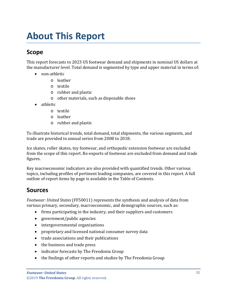# <span id="page-3-0"></span>**About This Report**

## <span id="page-3-1"></span>**Scope**

This report forecasts to 2023 US footwear demand and shipments in nominal US dollars at the manufacturer level. Total demand is segmented by type and upper material in terms of:

- non-athletic
	- o leather
	- o textile
	- o rubber and plastic
	- o other materials, such as disposable shoes
- athletic
	- o textile
	- o leather
	- o rubber and plastic

To illustrate historical trends, total demand, total shipments, the various segments, and trade are provided in annual series from 2008 to 2018.

Ice skates, roller skates, toy footwear, and orthopedic extension footwear are excluded from the scope of this report. Re-exports of footwear are excluded from demand and trade figures.

Key macroeconomic indicators are also provided with quantified trends. Other various topics, including profiles of pertinent leading companies, are covered in this report. A full outline of report items by page is available in the Table of Contents.

### <span id="page-3-2"></span>**Sources**

*Footwear: United States* (FF50011) represents the synthesis and analysis of data from various primary, secondary, macroeconomic, and demographic sources, such as:

- firms participating in the industry, and their suppliers and customers
- government/public agencies
- intergovernmental organizations
- proprietary and licensed national consumer survey data
- trade associations and their publications
- the business and trade press
- indicator forecasts by The Freedonia Group
- the findings of other reports and studies by The Freedonia Group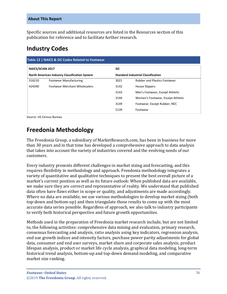Specific sources and additional resources are listed in the Resources section of this publication for reference and to facilitate further research.

## <span id="page-4-0"></span>**Industry Codes**

<span id="page-4-2"></span>

| Table 12   NAICS & SIC Codes Related to Footwear                                |                                      |            |                                           |  |
|---------------------------------------------------------------------------------|--------------------------------------|------------|-------------------------------------------|--|
| <b>NAICS/SCIAN 2017</b><br><b>North American Industry Classification System</b> |                                      | <b>SIC</b> |                                           |  |
|                                                                                 |                                      |            | <b>Standard Industrial Classification</b> |  |
| 316210                                                                          | <b>Footwear Manufacturing</b>        | 3021       | <b>Rubber and Plastics Footwear</b>       |  |
| 424340                                                                          | <b>Footwear Merchant Wholesalers</b> | 3142       | House Slippers                            |  |
|                                                                                 |                                      | 3143       | Men's Footwear, Except Athletic           |  |
|                                                                                 |                                      | 3144       | Women's Footwear, Except Athletic         |  |
|                                                                                 |                                      | 3149       | Footwear, Except Rubber, NEC              |  |
|                                                                                 |                                      | 5139       | Footwear                                  |  |

Source: US Census Bureau

# <span id="page-4-1"></span>**Freedonia Methodology**

The Freedonia Group, a subsidiary of MarketResearch.com, has been in business for more than 30 years and in that time has developed a comprehensive approach to data analysis that takes into account the variety of industries covered and the evolving needs of our customers.

Every industry presents different challenges in market sizing and forecasting, and this requires flexibility in methodology and approach. Freedonia methodology integrates a variety of quantitative and qualitative techniques to present the best overall picture of a market's current position as well as its future outlook: When published data are available, we make sure they are correct and representative of reality. We understand that published data often have flaws either in scope or quality, and adjustments are made accordingly. Where no data are available, we use various methodologies to develop market sizing (both top-down and bottom-up) and then triangulate those results to come up with the most accurate data series possible. Regardless of approach, we also talk to industry participants to verify both historical perspective and future growth opportunities.

Methods used in the preparation of Freedonia market research include, but are not limited to, the following activities: comprehensive data mining and evaluation, primary research, consensus forecasting and analysis, ratio analysis using key indicators, regression analysis, end use growth indices and intensity factors, purchase power parity adjustments for global data, consumer and end user surveys, market share and corporate sales analysis, product lifespan analysis, product or market life cycle analysis, graphical data modeling, long-term historical trend analysis, bottom-up and top-down demand modeling, and comparative market size ranking.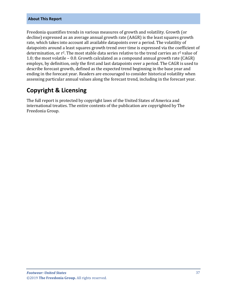#### **About This Report**

Freedonia quantifies trends in various measures of growth and volatility. Growth (or decline) expressed as an average annual growth rate (AAGR) is the least squares growth rate, which takes into account all available datapoints over a period. The volatility of datapoints around a least squares growth trend over time is expressed via the coefficient of determination, or  $r^2$ . The most stable data series relative to the trend carries an  $r^2$  value of 1.0; the most volatile – 0.0. Growth calculated as a compound annual growth rate (CAGR) employs, by definition, only the first and last datapoints over a period. The CAGR is used to describe forecast growth, defined as the expected trend beginning in the base year and ending in the forecast year. Readers are encouraged to consider historical volatility when assessing particular annual values along the forecast trend, including in the forecast year.

### **Copyright & Licensing**

The full report is protected by copyright laws of the United States of America and international treaties. The entire contents of the publication are copyrighted by The Freedonia Group.